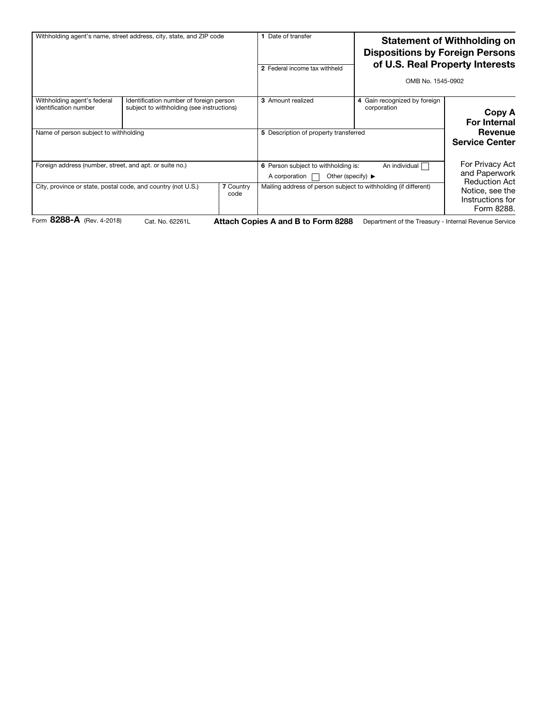| Withholding agent's name, street address, city, state, and ZIP code    |                                                                                      | Date of transfer<br>2 Federal income tax withheld |                                                                                                                | <b>Statement of Withholding on</b><br><b>Dispositions by Foreign Persons</b><br>of U.S. Real Property Interests<br>OMB No. 1545-0902 |                                                                           |  |
|------------------------------------------------------------------------|--------------------------------------------------------------------------------------|---------------------------------------------------|----------------------------------------------------------------------------------------------------------------|--------------------------------------------------------------------------------------------------------------------------------------|---------------------------------------------------------------------------|--|
| Withholding agent's federal<br>identification number                   | Identification number of foreign person<br>subject to withholding (see instructions) |                                                   | <b>3</b> Amount realized                                                                                       | 4 Gain recognized by foreign<br>corporation                                                                                          | Copy A<br><b>For Internal</b>                                             |  |
| Name of person subject to withholding                                  |                                                                                      |                                                   | 5 Description of property transferred                                                                          |                                                                                                                                      | Revenue<br><b>Service Center</b>                                          |  |
| Foreign address (number, street, and apt. or suite no.)                |                                                                                      |                                                   | An individual<br>6 Person subject to withholding is:<br>Other (specify) $\blacktriangleright$<br>A corporation |                                                                                                                                      | For Privacy Act<br>and Paperwork                                          |  |
| City, province or state, postal code, and country (not U.S.)<br>---- - |                                                                                      | <b>7 Country</b><br>code                          |                                                                                                                | Mailing address of person subject to withholding (if different)                                                                      | <b>Reduction Act</b><br>Notice, see the<br>Instructions for<br>Form 8288. |  |

Form 8288-A (Rev. 4-2018)

Cat. No. 62261L **Attach Copies A and B to Form 8288** Department of the Treasury - Internal Revenue Service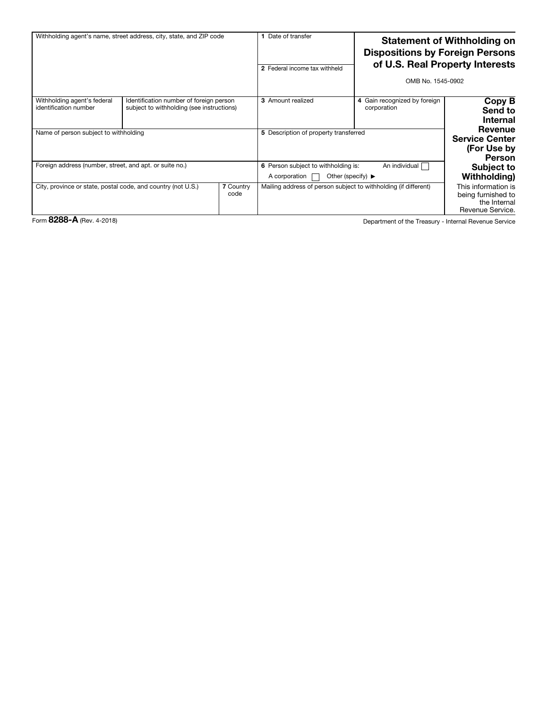| Withholding agent's name, street address, city, state, and ZIP code |                                                                                      | Date of transfer<br>2 Federal income tax withheld |                                                                                                                | <b>Statement of Withholding on</b><br><b>Dispositions by Foreign Persons</b><br>of U.S. Real Property Interests<br>OMB No. 1545-0902 |                                                                               |
|---------------------------------------------------------------------|--------------------------------------------------------------------------------------|---------------------------------------------------|----------------------------------------------------------------------------------------------------------------|--------------------------------------------------------------------------------------------------------------------------------------|-------------------------------------------------------------------------------|
| Withholding agent's federal<br>identification number                | Identification number of foreign person<br>subject to withholding (see instructions) |                                                   | <b>3</b> Amount realized                                                                                       | 4 Gain recognized by foreign<br>corporation                                                                                          | Copy B<br>Send to<br><b>Internal</b>                                          |
| Name of person subject to withholding                               |                                                                                      |                                                   | 5 Description of property transferred                                                                          |                                                                                                                                      | Revenue<br><b>Service Center</b><br>(For Use by<br>Person                     |
| Foreign address (number, street, and apt. or suite no.)             |                                                                                      |                                                   | An individual<br>6 Person subject to withholding is:<br>Other (specify) $\blacktriangleright$<br>A corporation |                                                                                                                                      | <b>Subject to</b><br>Withholding)                                             |
| City, province or state, postal code, and country (not U.S.)        |                                                                                      | <b>7 Country</b><br>code                          |                                                                                                                | Mailing address of person subject to withholding (if different)                                                                      | This information is<br>being furnished to<br>the Internal<br>Revenue Service. |

Form 8288-A (Rev. 4-2018)

Department of the Treasury - Internal Revenue Service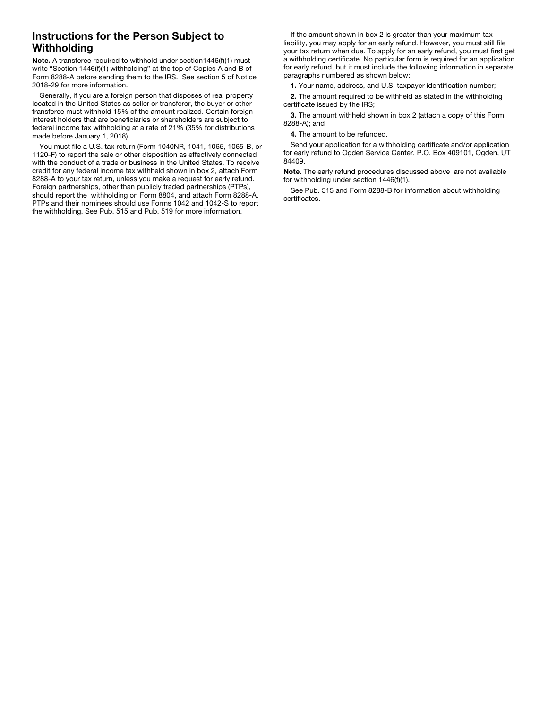## Instructions for the Person Subject to **Withholding**

Note. A transferee required to withhold under section1446(f)(1) must write "Section 1446(f)(1) withholding" at the top of Copies  $\overrightarrow{A}$  and B of Form 8288-A before sending them to the IRS. See section 5 of Notice 2018-29 for more information.

Generally, if you are a foreign person that disposes of real property located in the United States as seller or transferor, the buyer or other transferee must withhold 15% of the amount realized. Certain foreign interest holders that are beneficiaries or shareholders are subject to federal income tax withholding at a rate of 21% (35% for distributions made before January 1, 2018).

You must file a U.S. tax return (Form 1040NR, 1041, 1065, 1065-B, or 1120-F) to report the sale or other disposition as effectively connected with the conduct of a trade or business in the United States. To receive credit for any federal income tax withheld shown in box 2, attach Form 8288-A to your tax return, unless you make a request for early refund. Foreign partnerships, other than publicly traded partnerships (PTPs), should report the withholding on Form 8804, and attach Form 8288-A. PTPs and their nominees should use Forms 1042 and 1042-S to report the withholding. See Pub. 515 and Pub. 519 for more information.

If the amount shown in box 2 is greater than your maximum tax liability, you may apply for an early refund. However, you must still file your tax return when due. To apply for an early refund, you must first get a withholding certificate. No particular form is required for an application for early refund, but it must include the following information in separate paragraphs numbered as shown below:

1. Your name, address, and U.S. taxpayer identification number;

2. The amount required to be withheld as stated in the withholding certificate issued by the IRS;

3. The amount withheld shown in box 2 (attach a copy of this Form 8288-A); and

4. The amount to be refunded.

Send your application for a withholding certificate and/or application for early refund to Ogden Service Center, P.O. Box 409101, Ogden, UT 84409.

Note. The early refund procedures discussed above are not available for withholding under section 1446(f)(1).

See Pub. 515 and Form 8288-B for information about withholding certificates.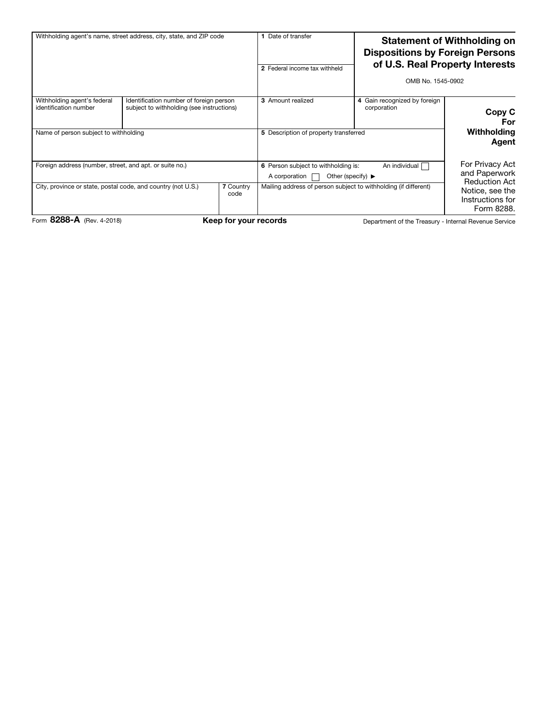| Withholding agent's name, street address, city, state, and ZIP code                                                                                 |                                                                                      |  | Date of transfer<br>2 Federal income tax withheld                                                                                                                                   | <b>Statement of Withholding on</b><br><b>Dispositions by Foreign Persons</b><br>of U.S. Real Property Interests<br>OMB No. 1545-0902 |                                                                                                               |  |
|-----------------------------------------------------------------------------------------------------------------------------------------------------|--------------------------------------------------------------------------------------|--|-------------------------------------------------------------------------------------------------------------------------------------------------------------------------------------|--------------------------------------------------------------------------------------------------------------------------------------|---------------------------------------------------------------------------------------------------------------|--|
| Withholding agent's federal<br>identification number<br>Name of person subject to withholding                                                       | Identification number of foreign person<br>subject to withholding (see instructions) |  | 3 Amount realized<br>5 Description of property transferred                                                                                                                          | 4 Gain recognized by foreign<br>corporation                                                                                          | Copy C<br>For<br>Withholding<br>Agent                                                                         |  |
| Foreign address (number, street, and apt. or suite no.)<br>City, province or state, postal code, and country (not U.S.)<br><b>7 Country</b><br>code |                                                                                      |  | An individual [<br>6 Person subject to withholding is:<br>Other (specify) $\blacktriangleright$<br>A corporation<br>Mailing address of person subject to withholding (if different) |                                                                                                                                      | For Privacy Act<br>and Paperwork<br><b>Reduction Act</b><br>Notice, see the<br>Instructions for<br>Form 8288. |  |
| Form 8288-A (Rev. 4-2018)<br>Keep for your records<br>Department of the Treasury - Internal Revenue Service                                         |                                                                                      |  |                                                                                                                                                                                     |                                                                                                                                      |                                                                                                               |  |